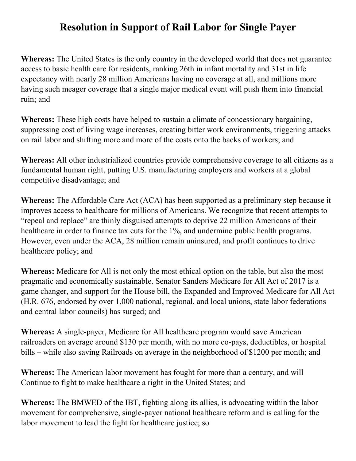## **Resolution in Support of Rail Labor for Single Payer**

**Whereas:** The United States is the only country in the developed world that does not guarantee access to basic health care for residents, ranking 26th in infant mortality and 31st in life expectancy with nearly 28 million Americans having no coverage at all, and millions more having such meager coverage that a single major medical event will push them into financial ruin; and

**Whereas:** These high costs have helped to sustain a climate of concessionary bargaining, suppressing cost of living wage increases, creating bitter work environments, triggering attacks on rail labor and shifting more and more of the costs onto the backs of workers; and

**Whereas:** All other industrialized countries provide comprehensive coverage to all citizens as a fundamental human right, putting U.S. manufacturing employers and workers at a global competitive disadvantage; and

**Whereas:** The Affordable Care Act (ACA) has been supported as a preliminary step because it improves access to healthcare for millions of Americans. We recognize that recent attempts to "repeal and replace" are thinly disguised attempts to deprive 22 million Americans of their healthcare in order to finance tax cuts for the 1%, and undermine public health programs. However, even under the ACA, 28 million remain uninsured, and profit continues to drive healthcare policy; and

**Whereas:** Medicare for All is not only the most ethical option on the table, but also the most pragmatic and economically sustainable. Senator Sanders Medicare for All Act of 2017 is a game changer, and support for the House bill, the Expanded and Improved Medicare for All Act (H.R. 676, endorsed by over 1,000 national, regional, and local unions, state labor federations and central labor councils) has surged; and

**Whereas:** A single-payer, Medicare for All healthcare program would save American railroaders on average around \$130 per month, with no more co-pays, deductibles, or hospital bills – while also saving Railroads on average in the neighborhood of \$1200 per month; and

**Whereas:** The American labor movement has fought for more than a century, and will Continue to fight to make healthcare a right in the United States; and

**Whereas:** The BMWED of the IBT, fighting along its allies, is advocating within the labor movement for comprehensive, single-payer national healthcare reform and is calling for the labor movement to lead the fight for healthcare justice; so